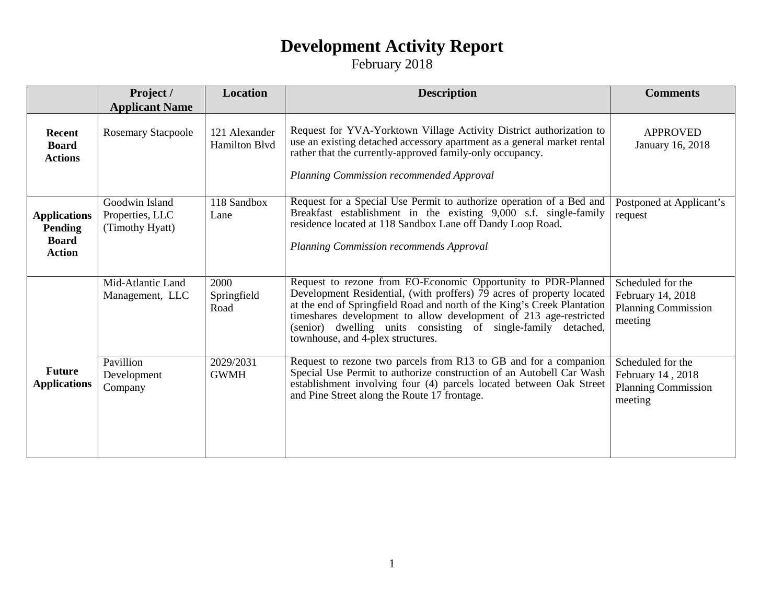### **Development Activity Report**

February 2018

|                                                                 | Project /<br><b>Applicant Name</b>                   | <b>Location</b>                       | <b>Description</b>                                                                                                                                                                                                                                                                                                                                                                              | <b>Comments</b>                                                                 |
|-----------------------------------------------------------------|------------------------------------------------------|---------------------------------------|-------------------------------------------------------------------------------------------------------------------------------------------------------------------------------------------------------------------------------------------------------------------------------------------------------------------------------------------------------------------------------------------------|---------------------------------------------------------------------------------|
| <b>Recent</b><br><b>Board</b><br><b>Actions</b>                 | <b>Rosemary Stacpoole</b>                            | 121 Alexander<br><b>Hamilton Blvd</b> | Request for YVA-Yorktown Village Activity District authorization to<br>use an existing detached accessory apartment as a general market rental<br>rather that the currently-approved family-only occupancy.<br>Planning Commission recommended Approval                                                                                                                                         | <b>APPROVED</b><br>January 16, 2018                                             |
| <b>Applications</b><br>Pending<br><b>Board</b><br><b>Action</b> | Goodwin Island<br>Properties, LLC<br>(Timothy Hyatt) | 118 Sandbox<br>Lane                   | Request for a Special Use Permit to authorize operation of a Bed and<br>Breakfast establishment in the existing 9,000 s.f. single-family<br>residence located at 118 Sandbox Lane off Dandy Loop Road.<br>Planning Commission recommends Approval                                                                                                                                               | Postponed at Applicant's<br>request                                             |
|                                                                 | Mid-Atlantic Land<br>Management, LLC                 | 2000<br>Springfield<br>Road           | Request to rezone from EO-Economic Opportunity to PDR-Planned<br>Development Residential, (with proffers) 79 acres of property located<br>at the end of Springfield Road and north of the King's Creek Plantation<br>timeshares development to allow development of 213 age-restricted<br>(senior) dwelling units consisting of single-family<br>detached,<br>townhouse, and 4-plex structures. | Scheduled for the<br>February 14, 2018<br><b>Planning Commission</b><br>meeting |
| <b>Future</b><br><b>Applications</b>                            | Pavillion<br>Development<br>Company                  | 2029/2031<br><b>GWMH</b>              | Request to rezone two parcels from R13 to GB and for a companion<br>Special Use Permit to authorize construction of an Autobell Car Wash<br>establishment involving four (4) parcels located between Oak Street<br>and Pine Street along the Route 17 frontage.                                                                                                                                 | Scheduled for the<br>February 14, 2018<br><b>Planning Commission</b><br>meeting |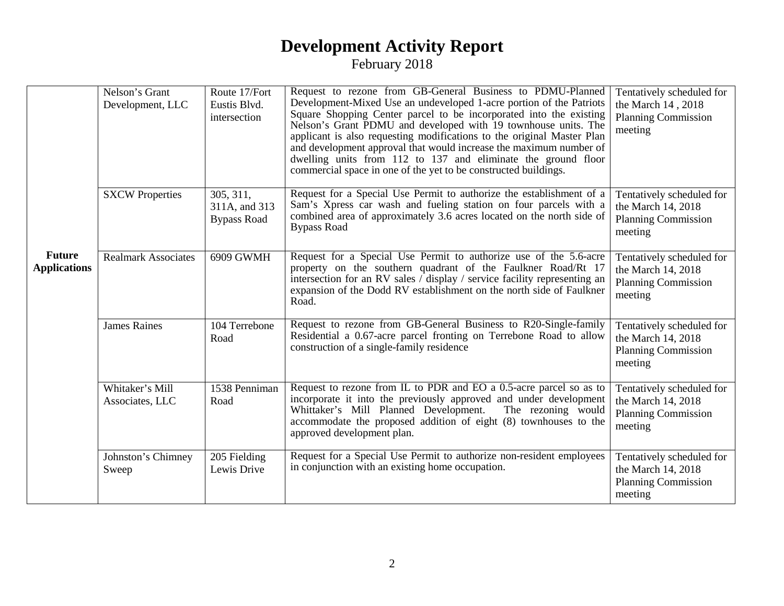#### **Development Activity Report** February 2018

|                                      | Nelson's Grant<br>Development, LLC | Route 17/Fort<br>Eustis Blvd.<br>intersection    | Request to rezone from GB-General Business to PDMU-Planned<br>Development-Mixed Use an undeveloped 1-acre portion of the Patriots<br>Square Shopping Center parcel to be incorporated into the existing<br>Nelson's Grant PDMU and developed with 19 townhouse units. The<br>applicant is also requesting modifications to the original Master Plan<br>and development approval that would increase the maximum number of<br>dwelling units from 112 to 137 and eliminate the ground floor<br>commercial space in one of the yet to be constructed buildings. | Tentatively scheduled for<br>the March 14, 2018<br><b>Planning Commission</b><br>meeting |
|--------------------------------------|------------------------------------|--------------------------------------------------|---------------------------------------------------------------------------------------------------------------------------------------------------------------------------------------------------------------------------------------------------------------------------------------------------------------------------------------------------------------------------------------------------------------------------------------------------------------------------------------------------------------------------------------------------------------|------------------------------------------------------------------------------------------|
|                                      | <b>SXCW Properties</b>             | 305, 311,<br>311A, and 313<br><b>Bypass Road</b> | Request for a Special Use Permit to authorize the establishment of a<br>Sam's Xpress car wash and fueling station on four parcels with a<br>combined area of approximately 3.6 acres located on the north side of<br><b>Bypass Road</b>                                                                                                                                                                                                                                                                                                                       | Tentatively scheduled for<br>the March 14, 2018<br><b>Planning Commission</b><br>meeting |
| <b>Future</b><br><b>Applications</b> | <b>Realmark Associates</b>         | 6909 GWMH                                        | Request for a Special Use Permit to authorize use of the 5.6-acre<br>property on the southern quadrant of the Faulkner Road/Rt 17<br>intersection for an RV sales $\overline{\phantom{a}}$ display / service facility representing an<br>expansion of the Dodd RV establishment on the north side of Faulkner<br>Road.                                                                                                                                                                                                                                        | Tentatively scheduled for<br>the March 14, 2018<br><b>Planning Commission</b><br>meeting |
|                                      | <b>James Raines</b>                | 104 Terrebone<br>Road                            | Request to rezone from GB-General Business to R20-Single-family<br>Residential a 0.67-acre parcel fronting on Terrebone Road to allow<br>construction of a single-family residence                                                                                                                                                                                                                                                                                                                                                                            | Tentatively scheduled for<br>the March 14, 2018<br><b>Planning Commission</b><br>meeting |
|                                      | Whitaker's Mill<br>Associates, LLC | 1538 Penniman<br>Road                            | Request to rezone from IL to PDR and EO a 0.5-acre parcel so as to<br>incorporate it into the previously approved and under development<br>Whittaker's Mill Planned Development.<br>The rezoning would<br>accommodate the proposed addition of eight (8) townhouses to the<br>approved development plan.                                                                                                                                                                                                                                                      | Tentatively scheduled for<br>the March 14, 2018<br><b>Planning Commission</b><br>meeting |
|                                      | Johnston's Chimney<br>Sweep        | 205 Fielding<br>Lewis Drive                      | Request for a Special Use Permit to authorize non-resident employees<br>in conjunction with an existing home occupation.                                                                                                                                                                                                                                                                                                                                                                                                                                      | Tentatively scheduled for<br>the March 14, 2018<br><b>Planning Commission</b><br>meeting |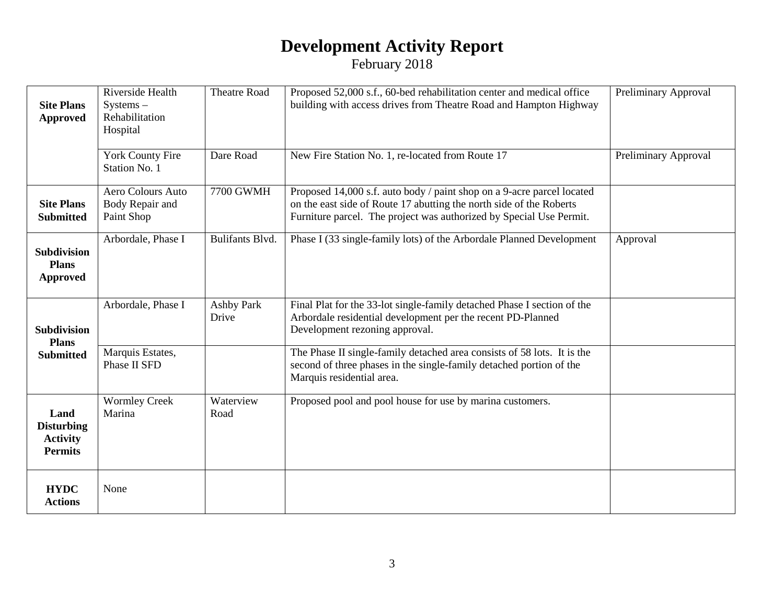## **Development Activity Report**

February 2018

| <b>Site Plans</b><br><b>Approved</b>                           | Riverside Health<br>$Systems -$<br>Rehabilitation<br>Hospital | <b>Theatre Road</b>        | Proposed 52,000 s.f., 60-bed rehabilitation center and medical office<br>building with access drives from Theatre Road and Hampton Highway                                                                           | Preliminary Approval |
|----------------------------------------------------------------|---------------------------------------------------------------|----------------------------|----------------------------------------------------------------------------------------------------------------------------------------------------------------------------------------------------------------------|----------------------|
|                                                                | <b>York County Fire</b><br>Station No. 1                      | Dare Road                  | New Fire Station No. 1, re-located from Route 17                                                                                                                                                                     | Preliminary Approval |
| <b>Site Plans</b><br><b>Submitted</b>                          | Aero Colours Auto<br>Body Repair and<br>Paint Shop            | <b>7700 GWMH</b>           | Proposed 14,000 s.f. auto body / paint shop on a 9-acre parcel located<br>on the east side of Route 17 abutting the north side of the Roberts<br>Furniture parcel. The project was authorized by Special Use Permit. |                      |
| <b>Subdivision</b><br><b>Plans</b><br><b>Approved</b>          | Arbordale, Phase I                                            | <b>Bulifants Blvd.</b>     | Phase I (33 single-family lots) of the Arbordale Planned Development                                                                                                                                                 | Approval             |
| <b>Subdivision</b><br><b>Plans</b><br><b>Submitted</b>         | Arbordale, Phase I                                            | <b>Ashby Park</b><br>Drive | Final Plat for the 33-lot single-family detached Phase I section of the<br>Arbordale residential development per the recent PD-Planned<br>Development rezoning approval.                                             |                      |
|                                                                | Marquis Estates,<br>Phase II SFD                              |                            | The Phase II single-family detached area consists of 58 lots. It is the<br>second of three phases in the single-family detached portion of the<br>Marquis residential area.                                          |                      |
| Land<br><b>Disturbing</b><br><b>Activity</b><br><b>Permits</b> | <b>Wormley Creek</b><br>Marina                                | Waterview<br>Road          | Proposed pool and pool house for use by marina customers.                                                                                                                                                            |                      |
| <b>HYDC</b><br><b>Actions</b>                                  | None                                                          |                            |                                                                                                                                                                                                                      |                      |